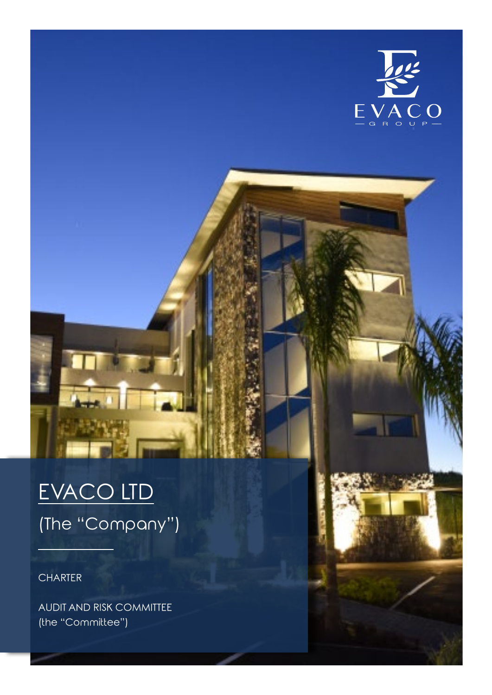

# EVACO LTD (The "Company")

**CHARTER** 

AUDIT AND RISK COMMITTEE (the "Committee")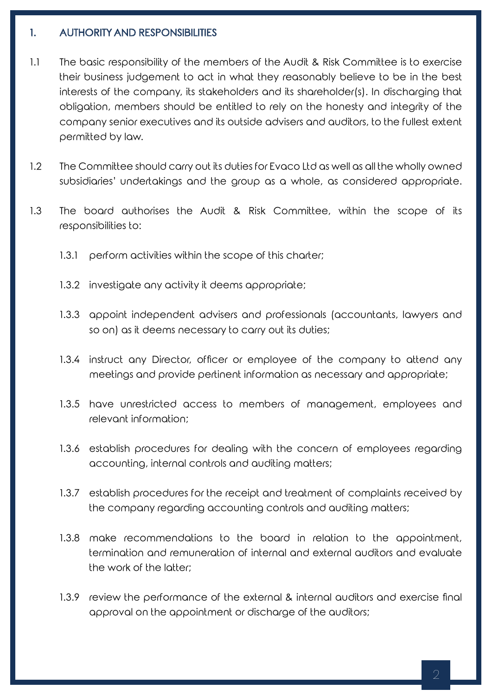## 1. AUTHORITY AND RESPONSIBILITIES

- 1.1 The basic responsibility of the members of the Audit & Risk Committee is to exercise their business judgement to act in what they reasonably believe to be in the best interests of the company, its stakeholders and its shareholder(s). In discharging that obligation, members should be entitled to rely on the honesty and integrity of the company senior executives and its outside advisers and auditors, to the fullest extent permitted by law.
- 1.2 The Committee should carry out its duties for Evaco Ltd as well as all the wholly owned subsidiaries' undertakings and the group as a whole, as considered appropriate.
- 1.3 The board authorises the Audit & Risk Committee, within the scope of its responsibilities to:
	- 1.3.1 perform activities within the scope of this charter;
	- 1.3.2 investigate any activity it deems appropriate;
	- 1.3.3 appoint independent advisers and professionals (accountants, lawyers and so on) as it deems necessary to carry out its duties;
	- 1.3.4 instruct any Director, officer or employee of the company to attend any meetings and provide pertinent information as necessary and appropriate;
	- 1.3.5 have unrestricted access to members of management, employees and relevant information;
	- 1.3.6 establish procedures for dealing with the concern of employees regarding accounting, internal controls and auditing matters;
	- 1.3.7 establish procedures for the receipt and treatment of complaints received by the company regarding accounting controls and auditing matters;
	- 1.3.8 make recommendations to the board in relation to the appointment, termination and remuneration of internal and external auditors and evaluate the work of the latter;
	- 1.3.9 review the performance of the external & internal auditors and exercise final approval on the appointment or discharge of the auditors;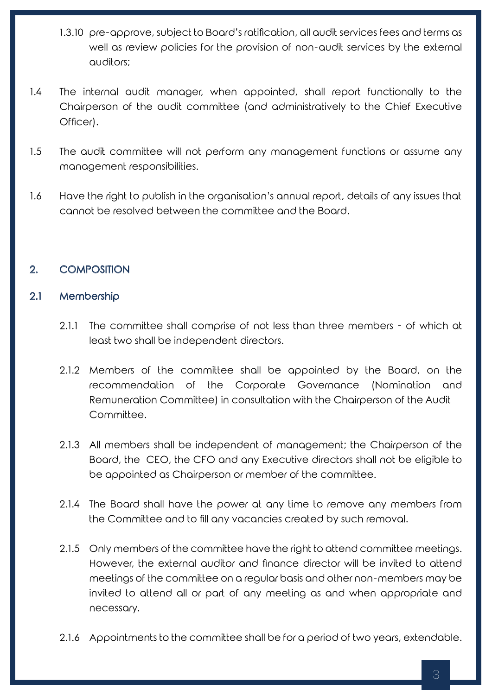- 1.3.10 pre-approve, subject to Board's ratification, all audit services fees and terms as well as review policies for the provision of non-audit services by the external auditors;
- 1.4 The internal audit manager, when appointed, shall report functionally to the Chairperson of the audit committee (and administratively to the Chief Executive Officer).
- 1.5 The audit committee will not perform any management functions or assume any management responsibilities.
- 1.6 Have the right to publish in the organisation's annual report, details of any issues that cannot be resolved between the committee and the Board.

# 2. COMPOSITION

## 2.1 Membership

- 2.1.1 The committee shall comprise of not less than three members of which at least two shall be independent directors.
- 2.1.2 Members of the committee shall be appointed by the Board, on the recommendation of the Corporate Governance (Nomination and Remuneration Committee) in consultation with the Chairperson of the Audit Committee.
- 2.1.3 All members shall be independent of management; the Chairperson of the Board, the CEO, the CFO and any Executive directors shall not be eligible to be appointed as Chairperson or member of the committee.
- 2.1.4 The Board shall have the power at any time to remove any members from the Committee and to fill any vacancies created by such removal.
- 2.1.5 Only members of the committee have the right to attend committee meetings. However, the external auditor and finance director will be invited to attend meetings of the committee on a regular basis and other non-members may be invited to attend all or part of any meeting as and when appropriate and necessary.
- 2.1.6 Appointments to the committee shall be for a period of two years, extendable.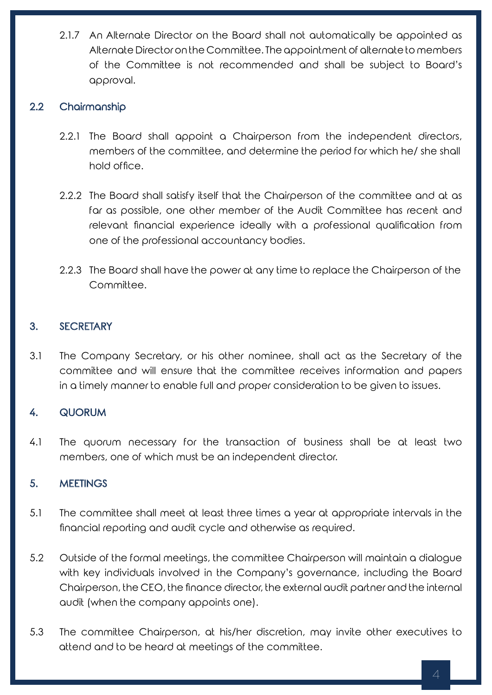2.1.7 An Alternate Director on the Board shall not automatically be appointed as Alternate Director on the Committee. The appointment of alternate to members of the Committee is not recommended and shall be subject to Board's approval.

## 2.2 Chairmanship

- 2.2.1 The Board shall appoint a Chairperson from the independent directors, members of the committee, and determine the period for which he/ she shall hold office.
- 2.2.2 The Board shall satisfy itself that the Chairperson of the committee and at as far as possible, one other member of the Audit Committee has recent and relevant financial experience ideally with a professional qualification from one of the professional accountancy bodies.
- 2.2.3 The Board shall have the power at any time to replace the Chairperson of the Committee.

## 3. SECRETARY

3.1 The Company Secretary, or his other nominee, shall act as the Secretary of the committee and will ensure that the committee receives information and papers in a timely manner to enable full and proper consideration to be given to issues.

#### 4. QUORUM

4.1 The quorum necessary for the transaction of business shall be at least two members, one of which must be an independent director.

#### 5. MEETINGS

- 5.1 The committee shall meet at least three times a year at appropriate intervals in the financial reporting and audit cycle and otherwise as required.
- 5.2 Outside of the formal meetings, the committee Chairperson will maintain a dialogue with key individuals involved in the Company's governance, including the Board Chairperson, the CEO, the finance director, the external audit partner and the internal audit (when the company appoints one).
- 5.3 The committee Chairperson, at his/her discretion, may invite other executives to attend and to be heard at meetings of the committee.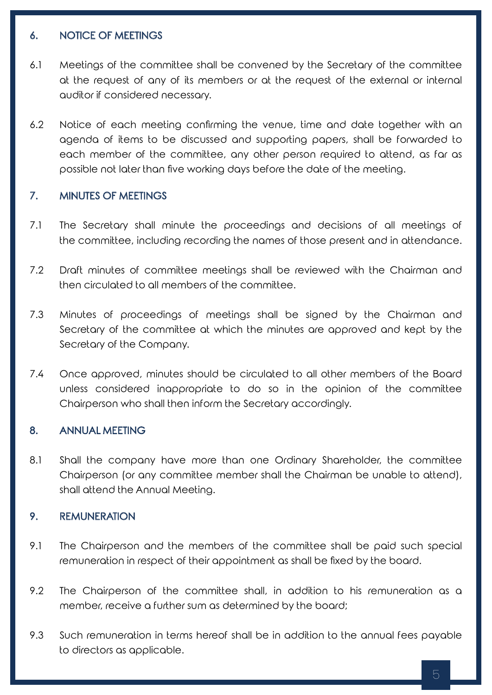## 6. NOTICE OF MEETINGS

- 6.1 Meetings of the committee shall be convened by the Secretary of the committee at the request of any of its members or at the request of the external or internal auditor if considered necessary.
- 6.2 Notice of each meeting confirming the venue, time and date together with an agenda of items to be discussed and supporting papers, shall be forwarded to each member of the committee, any other person required to attend, as far as possible not later than five working days before the date of the meeting.

## 7. MINUTES OF MEETINGS

- 7.1 The Secretary shall minute the proceedings and decisions of all meetings of the committee, including recording the names of those present and in attendance.
- 7.2 Draft minutes of committee meetings shall be reviewed with the Chairman and then circulated to all members of the committee.
- 7.3 Minutes of proceedings of meetings shall be signed by the Chairman and Secretary of the committee at which the minutes are approved and kept by the Secretary of the Company.
- 7.4 Once approved, minutes should be circulated to all other members of the Board unless considered inappropriate to do so in the opinion of the committee Chairperson who shall then inform the Secretary accordingly.

#### 8. ANNUAL MEETING

8.1 Shall the company have more than one Ordinary Shareholder, the committee Chairperson (or any committee member shall the Chairman be unable to attend), shall attend the Annual Meeting.

#### 9. REMUNERATION

- 9.1 The Chairperson and the members of the committee shall be paid such special remuneration in respect of their appointment as shall be fixed by the board.
- 9.2 The Chairperson of the committee shall, in addition to his remuneration as a member, receive a further sum as determined by the board;
- 9.3 Such remuneration in terms hereof shall be in addition to the annual fees payable to directors as applicable.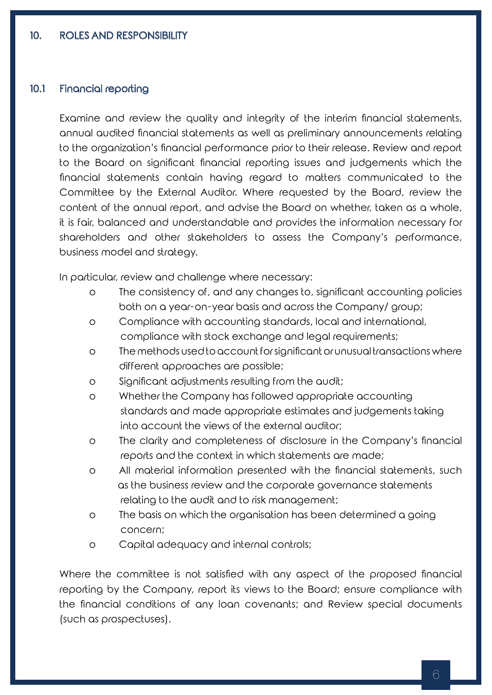#### 10.1 Financial reporting

Examine and review the quality and integrity of the interim financial statements, annual audited financial statements as well as preliminary announcements relating to the organization's financial performance prior to their release. Review and report to the Board on significant financial reporting issues and judgements which the financial statements contain having regard to matters communicated to the Committee by the External Auditor. Where requested by the Board, review the content of the annual report, and advise the Board on whether, taken as a whole, it is fair, balanced and understandable and provides the information necessary for shareholders and other stakeholders to assess the Company's performance, business model and strategy.

In particular, review and challenge where necessary:

- o The consistency of, and any changes to, significant accounting policies both on a year-on-year basis and across the Company/ group;
- o Compliance with accounting standards, local and international, compliance with stock exchange and legal requirements;
- o The methods used to account for significant or unusual transactions where different approaches are possible;
- o Significant adjustments resulting from the audit;
- o Whether the Company has followed appropriate accounting standards and made appropriate estimates and judgements taking into account the views of the external auditor;
- o The clarity and completeness of disclosure in the Company's financial reports and the context in which statements are made;
- o All material information presented with the financial statements, such as the business review and the corporate governance statements relating to the audit and to risk management;
- o The basis on which the organisation has been determined a going concern;
- o Capital adequacy and internal controls;

 Where the committee is not satisfied with any aspect of the proposed financial reporting by the Company, report its views to the Board; ensure compliance with the financial conditions of any loan covenants; and Review special documents (such as prospectuses).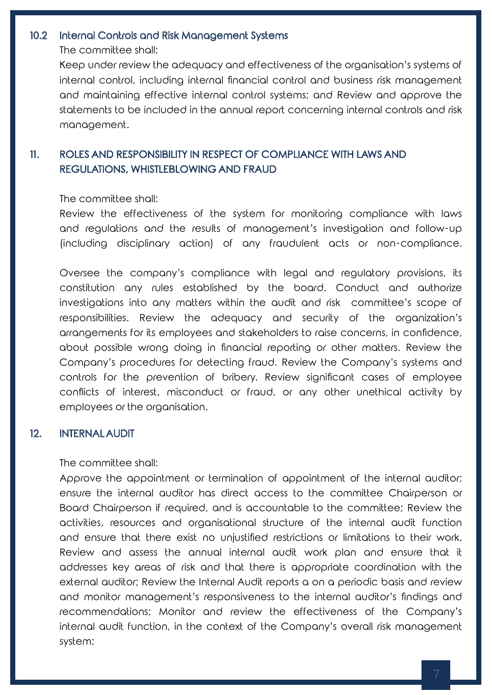#### 10.2 Internal Controls and Risk Management Systems

The committee shall:

 Keep under review the adequacy and effectiveness of the organisation's systems of internal control, including internal financial control and business risk management and maintaining effective internal control systems; and Review and approve the statements to be included in the annual report concerning internal controls and risk management.

# 11. ROLES AND RESPONSIBILITY IN RESPECT OF COMPLIANCE WITH LAWS AND REGULATIONS, WHISTLEBLOWING AND FRAUD

The committee shall:

Review the effectiveness of the system for monitoring compliance with laws and regulations and the results of management's investigation and follow-up (including disciplinary action) of any fraudulent acts or non-compliance.

Oversee the company's compliance with legal and regulatory provisions, its constitution any rules established by the board. Conduct and authorize investigations into any matters within the audit and risk committee's scope of responsibilities. Review the adequacy and security of the organization's arrangements for its employees and stakeholders to raise concerns, in confidence, about possible wrong doing in financial reporting or other matters. Review the Company's procedures for detecting fraud. Review the Company's systems and controls for the prevention of bribery. Review significant cases of employee conflicts of interest, misconduct or fraud, or any other unethical activity by employees or the organisation.

#### 12. INTERNAL AUDIT

The committee shall:

Approve the appointment or termination of appointment of the internal auditor; ensure the internal auditor has direct access to the committee Chairperson or Board Chairperson if required, and is accountable to the committee; Review the activities, resources and organisational structure of the internal audit function and ensure that there exist no unjustified restrictions or limitations to their work. Review and assess the annual internal audit work plan and ensure that it addresses key areas of risk and that there is appropriate coordination with the external auditor; Review the Internal Audit reports a on a periodic basis and review and monitor management's responsiveness to the internal auditor's findings and recommendations; Monitor and review the effectiveness of the Company's internal audit function, in the context of the Company's overall risk management system;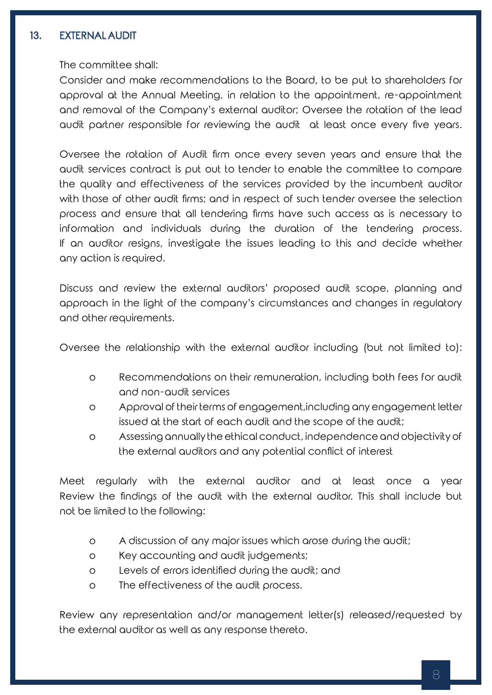## 13. EXTERNAL AUDIT

The committee shall:

Consider and make recommendations to the Board, to be put to shareholders for approval at the Annual Meeting, in relation to the appointment, re-appointment and removal of the Company's external auditor; Oversee the rotation of the lead audit partner responsible for reviewing the audit at least once every five years.

 Oversee the rotation of Audit firm once every seven years and ensure that the audit services contract is put out to tender to enable the committee to compare the quality and effectiveness of the services provided by the incumbent auditor with those of other audit firms; and in respect of such tender oversee the selection process and ensure that all tendering firms have such access as is necessary to information and individuals during the duration of the tendering process. If an auditor resigns, investigate the issues leading to this and decide whether any action is required.

Discuss and review the external auditors' proposed audit scope, planning and approach in the light of the company's circumstances and changes in regulatory and other requirements.

Oversee the relationship with the external auditor including (but not limited to):

- o Recommendations on their remuneration, including both fees for audit and non-audit services
- o Approval of their terms of engagement,including any engagement letter issued at the start of each audit and the scope of the audit;
- o Assessing annually the ethical conduct, independence and objectivity of the external auditors and any potential conflict of interest

Meet regularly with the external auditor and at least once a year Review the findings of the audit with the external auditor. This shall include but not be limited to the following:

- o A discussion of any major issues which arose during the audit;
- o Key accounting and audit judgements;
- o Levels of errors identified during the audit; and
- o The effectiveness of the audit process.

 Review any representation and/or management letter(s) released/requested by the external auditor as well as any response thereto.